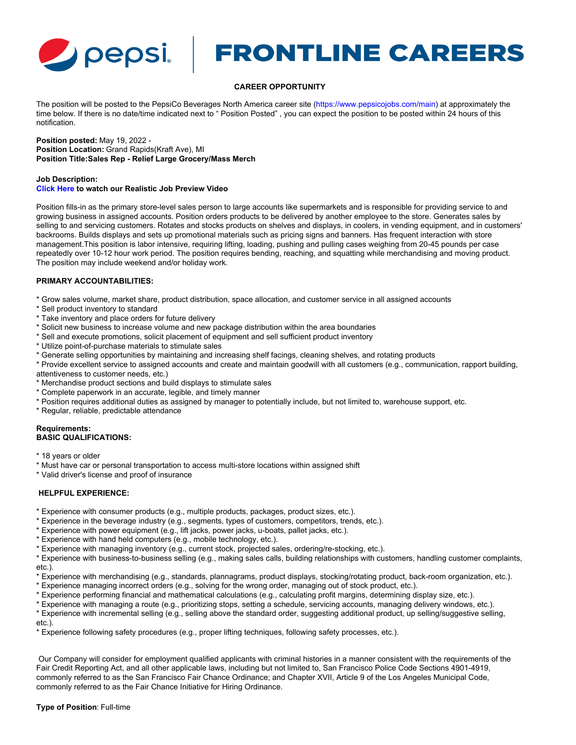

# Pepsi FRONTLINE CAREERS

# **CAREER OPPORTUNITY**

The position will be posted to the PepsiCo Beverages North America career site [\(https://www.pepsicojobs.com/main](https://www.pepsicojobs.com/main)) at approximately the time below. If there is no date/time indicated next to " Position Posted" , you can expect the position to be posted within 24 hours of this notification.

### **Position posted:** May 19, 2022 - **Position Location:** Grand Rapids(Kraft Ave), MI **Position Title:Sales Rep - Relief Large Grocery/Mass Merch**

## **Job Description: [Click Here](https://vimeo.com/481025278) to watch our Realistic Job Preview Video**

Position fills-in as the primary store-level sales person to large accounts like supermarkets and is responsible for providing service to and growing business in assigned accounts. Position orders products to be delivered by another employee to the store. Generates sales by selling to and servicing customers. Rotates and stocks products on shelves and displays, in coolers, in vending equipment, and in customers' backrooms. Builds displays and sets up promotional materials such as pricing signs and banners. Has frequent interaction with store management.This position is labor intensive, requiring lifting, loading, pushing and pulling cases weighing from 20-45 pounds per case repeatedly over 10-12 hour work period. The position requires bending, reaching, and squatting while merchandising and moving product. The position may include weekend and/or holiday work.

# **PRIMARY ACCOUNTABILITIES:**

- \* Grow sales volume, market share, product distribution, space allocation, and customer service in all assigned accounts
- \* Sell product inventory to standard
- \* Take inventory and place orders for future delivery
- \* Solicit new business to increase volume and new package distribution within the area boundaries
- \* Sell and execute promotions, solicit placement of equipment and sell sufficient product inventory
- \* Utilize point-of-purchase materials to stimulate sales
- \* Generate selling opportunities by maintaining and increasing shelf facings, cleaning shelves, and rotating products
- \* Provide excellent service to assigned accounts and create and maintain goodwill with all customers (e.g., communication, rapport building,

attentiveness to customer needs, etc.)

- \* Merchandise product sections and build displays to stimulate sales
- \* Complete paperwork in an accurate, legible, and timely manner
- \* Position requires additional duties as assigned by manager to potentially include, but not limited to, warehouse support, etc.
- \* Regular, reliable, predictable attendance

#### **Requirements: BASIC QUALIFICATIONS:**

- \* 18 years or older
- \* Must have car or personal transportation to access multi-store locations within assigned shift

\* Valid driver's license and proof of insurance

# **HELPFUL EXPERIENCE:**

- \* Experience with consumer products (e.g., multiple products, packages, product sizes, etc.).
- \* Experience in the beverage industry (e.g., segments, types of customers, competitors, trends, etc.).
- \* Experience with power equipment (e.g., lift jacks, power jacks, u-boats, pallet jacks, etc.).
- \* Experience with hand held computers (e.g., mobile technology, etc.).
- \* Experience with managing inventory (e.g., current stock, projected sales, ordering/re-stocking, etc.).

\* Experience with business-to-business selling (e.g., making sales calls, building relationships with customers, handling customer complaints, etc.).

- \* Experience with merchandising (e.g., standards, plannagrams, product displays, stocking/rotating product, back-room organization, etc.).
- \* Experience managing incorrect orders (e.g., solving for the wrong order, managing out of stock product, etc.).
- \* Experience performing financial and mathematical calculations (e.g., calculating profit margins, determining display size, etc.).
- \* Experience with managing a route (e.g., prioritizing stops, setting a schedule, servicing accounts, managing delivery windows, etc.).
- \* Experience with incremental selling (e.g., selling above the standard order, suggesting additional product, up selling/suggestive selling,

etc.).

\* Experience following safety procedures (e.g., proper lifting techniques, following safety processes, etc.).

 Our Company will consider for employment qualified applicants with criminal histories in a manner consistent with the requirements of the Fair Credit Reporting Act, and all other applicable laws, including but not limited to, San Francisco Police Code Sections 4901-4919, commonly referred to as the San Francisco Fair Chance Ordinance; and Chapter XVII, Article 9 of the Los Angeles Municipal Code, commonly referred to as the Fair Chance Initiative for Hiring Ordinance.